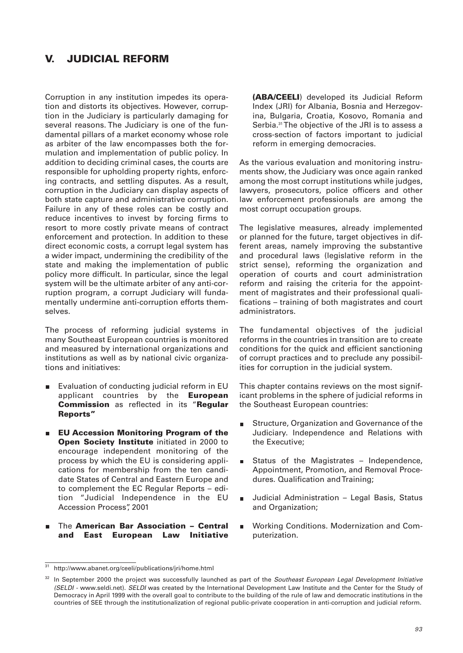# **V. JUDICIAL REFORM**

Corruption in any institution impedes its operation and distorts its objectives. However, corruption in the Judiciary is particularly damaging for several reasons. The Judiciary is one of the fundamental pillars of a market economy whose role as arbiter of the law encompasses both the formulation and implementation of public policy. In addition to deciding criminal cases, the courts are responsible for upholding property rights, enforcing contracts, and settling disputes. As a result, corruption in the Judiciary can display aspects of both state capture and administrative corruption. Failure in any of these roles can be costly and reduce incentives to invest by forcing firms to resort to more costly private means of contract enforcement and protection. In addition to these direct economic costs, a corrupt legal system has a wider impact, undermining the credibility of the state and making the implementation of public policy more difficult. In particular, since the legal system will be the ultimate arbiter of any anti-corruption program, a corrupt Judiciary will fundamentally undermine anti-corruption efforts themselves.

The process of reforming judicial systems in many Southeast European countries is monitored and measured by international organizations and institutions as well as by national civic organizations and initiatives:

- Evaluation of conducting judicial reform in EU applicant countries by the **European Commission** as reflected in its "**Regular Reports"**
- **EU Accession Monitoring Program of the Open Society Institute** initiated in 2000 to encourage independent monitoring of the process by which the EU is considering applications for membership from the ten candidate States of Central and Eastern Europe and to complement the EC Regular Reports – edition "Judicial Independence in the EU Accession Process", 2001
- The **American Bar Association Central**  $\blacksquare$ **and East European Law Initiative**

**(ABA/CEELI**) developed its Judicial Reform Index (JRI) for Albania, Bosnia and Herzegovina, Bulgaria, Croatia, Kosovo, Romania and Serbia.<sup>31</sup>The objective of the JRI is to assess a cross-section of factors important to judicial reform in emerging democracies.

As the various evaluation and monitoring instruments show, the Judiciary was once again ranked among the most corrupt institutions while judges, lawyers, prosecutors, police officers and other law enforcement professionals are among the most corrupt occupation groups.

The legislative measures, already implemented or planned for the future, target objectives in different areas, namely improving the substantive and procedural laws (legislative reform in the strict sense), reforming the organization and operation of courts and court administration reform and raising the criteria for the appointment of magistrates and their professional qualifications – training of both magistrates and court administrators.

The fundamental objectives of the judicial reforms in the countries in transition are to create conditions for the quick and efficient sanctioning of corrupt practices and to preclude any possibilities for corruption in the judicial system.

This chapter contains reviews on the most significant problems in the sphere of judicial reforms in the Southeast European countries:

- Structure, Organization and Governance of the Judiciary. Independence and Relations with the Executive;
- Status of the Magistrates Independence, Appointment, Promotion, and Removal Procedures. Qualification and Training;
- Judicial Administration Legal Basis, Status and Organization;
- Working Conditions. Modernization and Com-Ē puterization.

<sup>&</sup>lt;sup>31</sup> http://www.abanet.org/ceeli/publications/jri/home.html

In September 2000 the project was successfully launched as part of the Southeast European Legal Development Initiative (SELDI - www.seldi.net). SELDI was created by the International Development Law Institute and the Center for the Study of Democracy in April 1999 with the overall goal to contribute to the building of the rule of law and democratic institutions in the countries of SEE through the institutionalization of regional public-private cooperation in anti-corruption and judicial reform.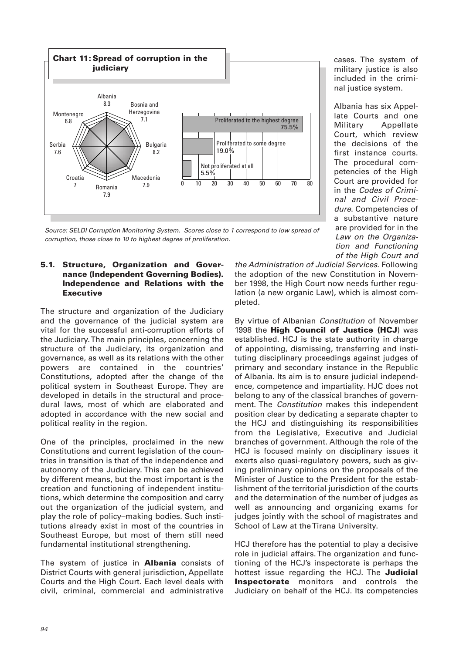

Source: SELDI Corruption Monitoring System. Scores close to 1 correspond to low spread of corruption, those close to 10 to highest degree of proliferation.

## **5.1. Structure, Organization and Governance (Independent Governing Bodies). Independence and Relations with the Executive**

The structure and organization of the Judiciary and the governance of the judicial system are vital for the successful anti-corruption efforts of the Judiciary. The main principles, concerning the structure of the Judiciary, its organization and governance, as well as its relations with the other powers are contained in the countries' Constitutions, adopted after the change of the political system in Southeast Europe. They are developed in details in the structural and procedural laws, most of which are elaborated and adopted in accordance with the new social and political reality in the region.

One of the principles, proclaimed in the new Constitutions and current legislation of the countries in transition is that of the independence and autonomy of the Judiciary. This can be achieved by different means, but the most important is the creation and functioning of independent institutions, which determine the composition and carry out the organization of the judicial system, and play the role of policy–making bodies. Such institutions already exist in most of the countries in Southeast Europe, but most of them still need fundamental institutional strengthening.

The system of justice in **Albania** consists of District Courts with general jurisdiction, Appellate Courts and the High Court. Each level deals with civil, criminal, commercial and administrative

the Administration of Judicial Services. Following the adoption of the new Constitution in November 1998, the High Court now needs further regulation (a new organic Law), which is almost completed.

cases. The system of military justice is also included in the criminal justice system.

Albania has six Appellate Courts and one Military Appellate Court, which review the decisions of the first instance courts. The procedural competencies of the High Court are provided for in the Codes of Criminal and Civil Procedure. Competencies of a substantive nature are provided for in the Law on the Organization and Functioning of the High Court and

By virtue of Albanian Constitution of November 1998 the **High Council of Justice (HCJ**) was established. HCJ is the state authority in charge of appointing, dismissing, transferring and instituting disciplinary proceedings against judges of primary and secondary instance in the Republic of Albania. Its aim is to ensure judicial independence, competence and impartiality. HJC does not belong to any of the classical branches of government. The Constitution makes this independent position clear by dedicating a separate chapter to the HCJ and distinguishing its responsibilities from the Legislative, Executive and Judicial branches of government. Although the role of the HCJ is focused mainly on disciplinary issues it exerts also quasi-regulatory powers, such as giving preliminary opinions on the proposals of the Minister of Justice to the President for the establishment of the territorial jurisdiction of the courts and the determination of the number of judges as well as announcing and organizing exams for judges jointly with the school of magistrates and School of Law at the Tirana University.

HCJ therefore has the potential to play a decisive role in judicial affairs. The organization and functioning of the HCJ's inspectorate is perhaps the hottest issue regarding the HCJ. The **Judicial Inspectorate** monitors and controls the Judiciary on behalf of the HCJ. Its competencies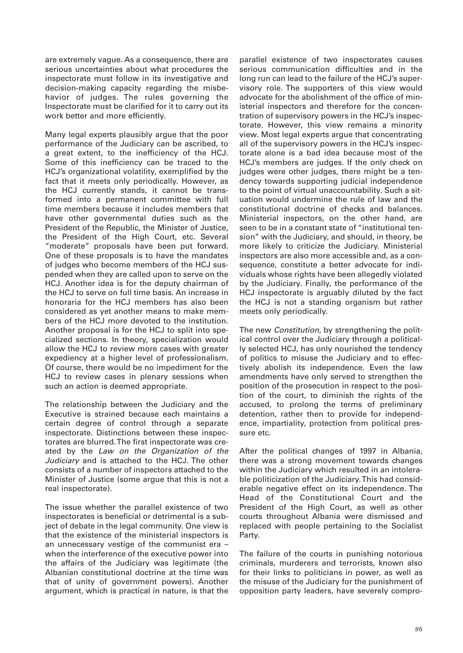are extremely vague. As a consequence, there are serious uncertainties about what procedures the inspectorate must follow in its investigative and decision-making capacity regarding the misbehavior of judges. The rules governing the Inspectorate must be clarified for it to carry out its work better and more efficiently.

Many legal experts plausibly argue that the poor performance of the Judiciary can be ascribed, to a great extent, to the inefficiency of the HCJ. Some of this inefficiency can be traced to the HCJ's organizational volatility, exemplified by the fact that it meets only periodically. However, as the HCJ currently stands, it cannot be transformed into a permanent committee with full time members because it includes members that have other governmental duties such as the President of the Republic, the Minister of Justice, the President of the High Court, etc. Several "moderate" proposals have been put forward. One of these proposals is to have the mandates of judges who become members of the HCJ suspended when they are called upon to serve on the HCJ. Another idea is for the deputy chairman of the HCJ to serve on full time basis. An increase in honoraria for the HCJ members has also been considered as yet another means to make members of the HCJ more devoted to the institution. Another proposal is for the HCJ to split into specialized sections. In theory, specialization would allow the HCJ to review more cases with greater expediency at a higher level of professionalism. Of course, there would be no impediment for the HCJ to review cases in plenary sessions when such an action is deemed appropriate.

The relationship between the Judiciary and the Executive is strained because each maintains a certain degree of control through a separate inspectorate. Distinctions between these inspectorates are blurred. The first inspectorate was created by the Law on the Organization of the Judiciary and is attached to the HCJ. The other consists of a number of inspectors attached to the Minister of Justice (some argue that this is not a real inspectorate).

The issue whether the parallel existence of two inspectorates is beneficial or detrimental is a subject of debate in the legal community. One view is that the existence of the ministerial inspectors is an unnecessary vestige of the communist era – when the interference of the executive power into the affairs of the Judiciary was legitimate (the Albanian constitutional doctrine at the time was that of unity of government powers). Another argument, which is practical in nature, is that the

parallel existence of two inspectorates causes serious communication difficulties and in the long run can lead to the failure of the HCJ's supervisory role. The supporters of this view would advocate for the abolishment of the office of ministerial inspectors and therefore for the concentration of supervisory powers in the HCJ's inspectorate. However, this view remains a minority view. Most legal experts argue that concentrating all of the supervisory powers in the HCJ's inspectorate alone is a bad idea because most of the HCJ's members are judges. If the only check on judges were other judges, there might be a tendency towards supporting judicial independence to the point of virtual unaccountability. Such a situation would undermine the rule of law and the constitutional doctrine of checks and balances. Ministerial inspectors, on the other hand, are seen to be in a constant state of "institutional tension" with the Judiciary, and should, in theory, be more likely to criticize the Judiciary. Ministerial inspectors are also more accessible and, as a consequence, constitute a better advocate for individuals whose rights have been allegedly violated by the Judiciary. Finally, the performance of the HCJ inspectorate is arguably diluted by the fact the HCJ is not a standing organism but rather meets only periodically.

The new Constitution, by strengthening the political control over the Judiciary through a politically selected HCJ, has only nourished the tendency of politics to misuse the Judiciary and to effectively abolish its independence. Even the law amendments have only served to strengthen the position of the prosecution in respect to the position of the court, to diminish the rights of the accused, to prolong the terms of preliminary detention, rather then to provide for independence, impartiality, protection from political pressure etc.

After the political changes of 1997 in Albania, there was a strong movement towards changes within the Judiciary which resulted in an intolerable politicization of the Judiciary. This had considerable negative effect on its independence. The Head of the Constitutional Court and the President of the High Court, as well as other courts throughout Albania were dismissed and replaced with people pertaining to the Socialist Party.

The failure of the courts in punishing notorious criminals, murderers and terrorists, known also for their links to politicians in power, as well as the misuse of the Judiciary for the punishment of opposition party leaders, have severely compro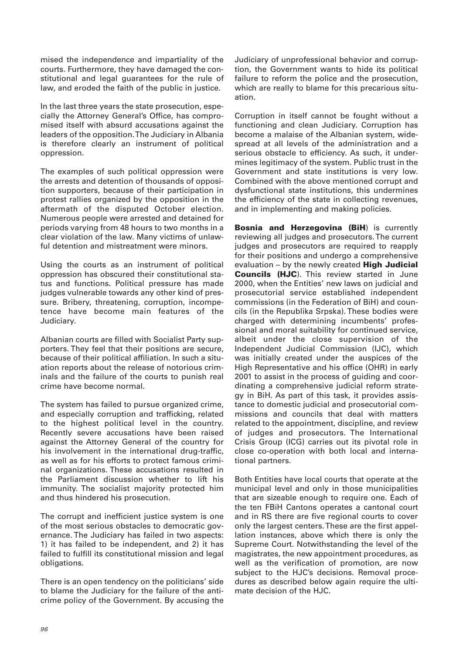mised the independence and impartiality of the courts. Furthermore, they have damaged the constitutional and legal guarantees for the rule of law, and eroded the faith of the public in justice.

In the last three years the state prosecution, especially the Attorney General's Office, has compromised itself with absurd accusations against the leaders of the opposition. The Judiciary in Albania is therefore clearly an instrument of political oppression.

The examples of such political oppression were the arrests and detention of thousands of opposition supporters, because of their participation in protest rallies organized by the opposition in the aftermath of the disputed October election. Numerous people were arrested and detained for periods varying from 48 hours to two months in a clear violation of the law. Many victims of unlawful detention and mistreatment were minors.

Using the courts as an instrument of political oppression has obscured their constitutional status and functions. Political pressure has made judges vulnerable towards any other kind of pressure. Bribery, threatening, corruption, incompetence have become main features of the Judiciary.

Albanian courts are filled with Socialist Party supporters. They feel that their positions are secure, because of their political affiliation. In such a situation reports about the release of notorious criminals and the failure of the courts to punish real crime have become normal.

The system has failed to pursue organized crime, and especially corruption and trafficking, related to the highest political level in the country. Recently severe accusations have been raised against the Attorney General of the country for his involvement in the international drug-traffic, as well as for his efforts to protect famous criminal organizations. These accusations resulted in the Parliament discussion whether to lift his immunity. The socialist majority protected him and thus hindered his prosecution.

The corrupt and inefficient justice system is one of the most serious obstacles to democratic governance. The Judiciary has failed in two aspects: 1) it has failed to be independent, and 2) it has failed to fulfill its constitutional mission and legal obligations.

There is an open tendency on the politicians' side to blame the Judiciary for the failure of the anticrime policy of the Government. By accusing the

Judiciary of unprofessional behavior and corruption, the Government wants to hide its political failure to reform the police and the prosecution, which are really to blame for this precarious situation.

Corruption in itself cannot be fought without a functioning and clean Judiciary. Corruption has become a malaise of the Albanian system, widespread at all levels of the administration and a serious obstacle to efficiency. As such, it undermines legitimacy of the system. Public trust in the Government and state institutions is very low. Combined with the above mentioned corrupt and dysfunctional state institutions, this undermines the efficiency of the state in collecting revenues, and in implementing and making policies.

**Bosnia and Herzegovina (BiH**) is currently reviewing all judges and prosecutors. The current judges and prosecutors are required to reapply for their positions and undergo a comprehensive evaluation – by the newly created **High Judicial Councils (HJC**). This review started in June 2000, when the Entities' new laws on judicial and prosecutorial service established independent commissions (in the Federation of BiH) and councils (in the Republika Srpska). These bodies were charged with determining incumbents' professional and moral suitability for continued service, albeit under the close supervision of the Independent Judicial Commission (IJC), which was initially created under the auspices of the High Representative and his office (OHR) in early 2001 to assist in the process of guiding and coordinating a comprehensive judicial reform strategy in BiH. As part of this task, it provides assistance to domestic judicial and prosecutorial commissions and councils that deal with matters related to the appointment, discipline, and review of judges and prosecutors. The International Crisis Group (ICG) carries out its pivotal role in close co-operation with both local and international partners.

Both Entities have local courts that operate at the municipal level and only in those municipalities that are sizeable enough to require one. Each of the ten FBiH Cantons operates a cantonal court and in RS there are five regional courts to cover only the largest centers. These are the first appellation instances, above which there is only the Supreme Court. Notwithstanding the level of the magistrates, the new appointment procedures, as well as the verification of promotion, are now subject to the HJC's decisions. Removal procedures as described below again require the ultimate decision of the HJC.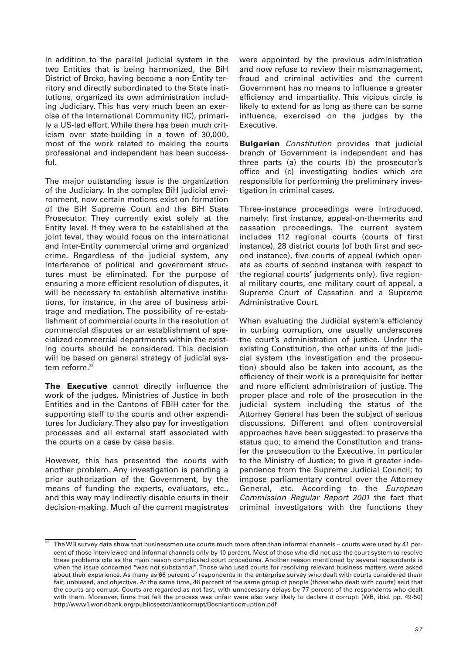In addition to the parallel judicial system in the two Entities that is being harmonized, the BiH District of Brcko, having become a non-Entity territory and directly subordinated to the State institutions, organized its own administration including Judiciary. This has very much been an exercise of the International Community (IC), primarily a US-led effort. While there has been much criticism over state-building in a town of 30,000, most of the work related to making the courts professional and independent has been successful.

The major outstanding issue is the organization of the Judiciary. In the complex BiH judicial environment, now certain motions exist on formation of the BiH Supreme Court and the BiH State Prosecutor. They currently exist solely at the Entity level. If they were to be established at the joint level, they would focus on the international and inter-Entity commercial crime and organized crime. Regardless of the judicial system, any interference of political and government structures must be eliminated. For the purpose of ensuring a more efficient resolution of disputes, it will be necessary to establish alternative institutions, for instance, in the area of business arbitrage and mediation. The possibility of re-establishment of commercial courts in the resolution of commercial disputes or an establishment of specialized commercial departments within the existing courts should be considered. This decision will be based on general strategy of judicial system reform.<sup>33</sup>

**The Executive** cannot directly influence the work of the judges. Ministries of Justice in both Entities and in the Cantons of FBiH cater for the supporting staff to the courts and other expenditures for Judiciary. They also pay for investigation processes and all external staff associated with the courts on a case by case basis.

However, this has presented the courts with another problem. Any investigation is pending a prior authorization of the Government, by the means of funding the experts, evaluators, etc., and this way may indirectly disable courts in their decision-making. Much of the current magistrates were appointed by the previous administration and now refuse to review their mismanagement, fraud and criminal activities and the current Government has no means to influence a greater efficiency and impartiality. This vicious circle is likely to extend for as long as there can be some influence, exercised on the judges by the Executive.

**Bulgarian** Constitution provides that judicial branch of Government is independent and has three parts (a) the courts (b) the prosecutor's office and (c) investigating bodies which are responsible for performing the preliminary investigation in criminal cases.

Three-instance proceedings were introduced, namely: first instance, appeal-on-the-merits and cassation proceedings. The current system includes 112 regional courts (courts of first instance), 28 district courts (of both first and second instance), five courts of appeal (which operate as courts of second instance with respect to the regional courts' judgments only), five regional military courts, one military court of appeal, a Supreme Court of Cassation and a Supreme Administrative Court.

When evaluating the Judicial system's efficiency in curbing corruption, one usually underscores the court's administration of justice. Under the existing Constitution, the other units of the judicial system (the investigation and the prosecution) should also be taken into account, as the efficiency of their work is a prerequisite for better and more efficient administration of justice. The proper place and role of the prosecution in the judicial system including the status of the Attorney General has been the subject of serious discussions. Different and often controversial approaches have been suggested: to preserve the status quo; to amend the Constitution and transfer the prosecution to the Executive, in particular to the Ministry of Justice; to give it greater independence from the Supreme Judicial Council; to impose parliamentary control over the Attorney General, etc. According to the European Commission Regular Report 2001 the fact that criminal investigators with the functions they

The WB survey data show that businessmen use courts much more often than informal channels – courts were used by 41 percent of those interviewed and informal channels only by 10 percent. Most of those who did not use the court system to resolve these problems cite as the main reason complicated court procedures. Another reason mentioned by several respondents is when the issue concerned "was not substantial". Those who used courts for resolving relevant business matters were asked about their experience. As many as 66 percent of respondents in the enterprise survey who dealt with courts considered them fair, unbiased, and objective. At the same time, 46 percent of the same group of people (those who dealt with courts) said that the courts are corrupt. Courts are regarded as not fast, with unnecessary delays by 77 percent of the respondents who dealt with them. Moreover, firms that felt the process was unfair were also very likely to declare it corrupt. (WB, ibid. pp. 49-50) http://www1.worldbank.org/publicsector/anticorrupt/Bosnianticorruption.pdf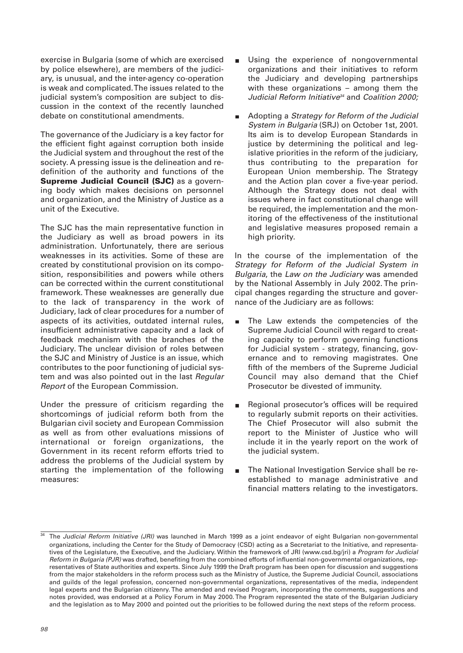exercise in Bulgaria (some of which are exercised by police elsewhere), are members of the judiciary, is unusual, and the inter-agency co-operation is weak and complicated. The issues related to the judicial system's composition are subject to discussion in the context of the recently launched debate on constitutional amendments.

The governance of the Judiciary is a key factor for the efficient fight against corruption both inside the Judicial system and throughout the rest of the society. A pressing issue is the delineation and redefinition of the authority and functions of the **Supreme Judicial Council (SJC)** as a governing body which makes decisions on personnel and organization, and the Ministry of Justice as a unit of the Executive.

The SJC has the main representative function in the Judiciary as well as broad powers in its administration. Unfortunately, there are serious weaknesses in its activities. Some of these are created by constitutional provision on its composition, responsibilities and powers while others can be corrected within the current constitutional framework. These weaknesses are generally due to the lack of transparency in the work of Judiciary, lack of clear procedures for a number of aspects of its activities, outdated internal rules, insufficient administrative capacity and a lack of feedback mechanism with the branches of the Judiciary. The unclear division of roles between the SJC and Ministry of Justice is an issue, which contributes to the poor functioning of judicial system and was also pointed out in the last Regular Report of the European Commission.

Under the pressure of criticism regarding the shortcomings of judicial reform both from the Bulgarian civil society and European Commission as well as from other evaluations missions of international or foreign organizations, the Government in its recent reform efforts tried to address the problems of the Judicial system by starting the implementation of the following measures:

- Using the experience of nongovernmental organizations and their initiatives to reform the Judiciary and developing partnerships with these organizations – among them the Judicial Reform Initiative<sup>34</sup> and Coalition 2000;
- Adopting a Strategy for Reform of the Judicial  $\blacksquare$ System in Bulgaria (SRJ) on October 1st, 2001. Its aim is to develop European Standards in justice by determining the political and legislative priorities in the reform of the judiciary, thus contributing to the preparation for European Union membership. The Strategy and the Action plan cover a five-year period. Although the Strategy does not deal with issues where in fact constitutional change will be required, the implementation and the monitoring of the effectiveness of the institutional and legislative measures proposed remain a high priority.

In the course of the implementation of the Strategy for Reform of the Judicial System in Bulgaria, the Law on the Judiciary was amended by the National Assembly in July 2002. The principal changes regarding the structure and governance of the Judiciary are as follows:

- The Law extends the competencies of the  $\blacksquare$ Supreme Judicial Council with regard to creating capacity to perform governing functions for Judicial system - strategy, financing, governance and to removing magistrates. One fifth of the members of the Supreme Judicial Council may also demand that the Chief Prosecutor be divested of immunity.
- Regional prosecutor's offices will be required  $\blacksquare$ to regularly submit reports on their activities. The Chief Prosecutor will also submit the report to the Minister of Justice who will include it in the yearly report on the work of the judicial system.
- The National Investigation Service shall be reestablished to manage administrative and financial matters relating to the investigators.

The Judicial Reform Initiative (JRI) was launched in March 1999 as a joint endeavor of eight Bulgarian non-governmental organizations, including the Center for the Study of Democracy (CSD) acting as a Secretariat to the Initiative, and representatives of the Legislature, the Executive, and the Judiciary. Within the framework of JRI (www.csd.bg/jri) a Program for Judicial Reform in Bulgaria (PJR) was drafted, benefiting from the combined efforts of influential non-governmental organizations, representatives of State authorities and experts. Since July 1999 the Draft program has been open for discussion and suggestions from the major stakeholders in the reform process such as the Ministry of Justice, the Supreme Judicial Council, associations and guilds of the legal profession, concerned non-governmental organizations, representatives of the media, independent legal experts and the Bulgarian citizenry. The amended and revised Program, incorporating the comments, suggestions and notes provided, was endorsed at a Policy Forum in May 2000. The Program represented the state of the Bulgarian Judiciary and the legislation as to May 2000 and pointed out the priorities to be followed during the next steps of the reform process.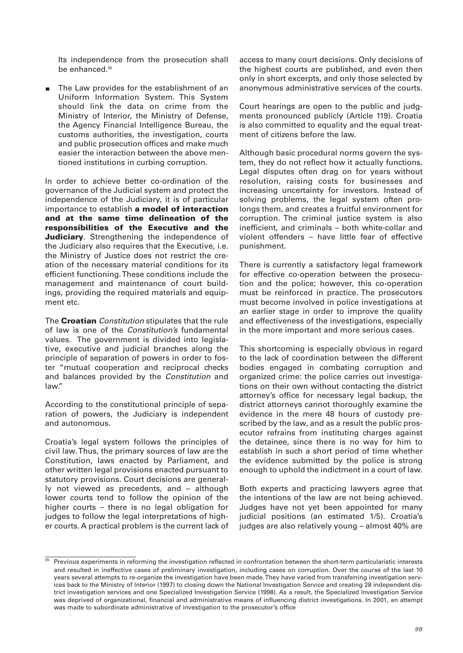Its independence from the prosecution shall be enhanced.<sup>35</sup>

The Law provides for the establishment of an  $\blacksquare$ Uniform Information System. This System should link the data on crime from the Ministry of Interior, the Ministry of Defense, the Agency Financial Intelligence Bureau, the customs authorities, the investigation, courts and public prosecution offices and make much easier the interaction between the above mentioned institutions in curbing corruption.

In order to achieve better co-ordination of the governance of the Judicial system and protect the independence of the Judiciary, it is of particular importance to establish **a model of interaction and at the same time delineation of the responsibilities of the Executive and the Judiciary**. Strengthening the independence of the Judiciary also requires that the Executive, i.e. the Ministry of Justice does not restrict the creation of the necessary material conditions for its efficient functioning. These conditions include the management and maintenance of court buildings, providing the required materials and equipment etc.

The **Croatian** Constitution stipulates that the rule of law is one of the Constitution's fundamental values. The government is divided into legislative, executive and judicial branches along the principle of separation of powers in order to foster "mutual cooperation and reciprocal checks and balances provided by the Constitution and law."

According to the constitutional principle of separation of powers, the Judiciary is independent and autonomous.

Croatia's legal system follows the principles of civil law. Thus, the primary sources of law are the Constitution, laws enacted by Parliament, and other written legal provisions enacted pursuant to statutory provisions. Court decisions are generally not viewed as precedents, and – although lower courts tend to follow the opinion of the higher courts – there is no legal obligation for judges to follow the legal interpretations of higher courts. A practical problem is the current lack of access to many court decisions. Only decisions of the highest courts are published, and even then only in short excerpts, and only those selected by anonymous administrative services of the courts.

Court hearings are open to the public and judgments pronounced publicly (Article 119). Croatia is also committed to equality and the equal treatment of citizens before the law.

Although basic procedural norms govern the system, they do not reflect how it actually functions. Legal disputes often drag on for years without resolution, raising costs for businesses and increasing uncertainty for investors. Instead of solving problems, the legal system often prolongs them, and creates a fruitful environment for corruption. The criminal justice system is also inefficient, and criminals – both white-collar and violent offenders – have little fear of effective punishment.

There is currently a satisfactory legal framework for effective co-operation between the prosecution and the police; however, this co-operation must be reinforced in practice. The prosecutors must become involved in police investigations at an earlier stage in order to improve the quality and effectiveness of the investigations, especially in the more important and more serious cases.

This shortcoming is especially obvious in regard to the lack of coordination between the different bodies engaged in combating corruption and organized crime: the police carries out investigations on their own without contacting the district attorney's office for necessary legal backup, the district attorneys cannot thoroughly examine the evidence in the mere 48 hours of custody prescribed by the law, and as a result the public prosecutor refrains from instituting charges against the detainee, since there is no way for him to establish in such a short period of time whether the evidence submitted by the police is strong enough to uphold the indictment in a court of law.

Both experts and practicing lawyers agree that the intentions of the law are not being achieved. Judges have not yet been appointed for many judicial positions (an estimated 1/5). Croatia's judges are also relatively young – almost 40% are

<sup>35</sup> Previous experiments in reforming the investigation reflected in confrontation between the short-term particularistic interests and resulted in ineffective cases of preliminary investigation, including cases on corruption. Over the course of the last 10 years several attempts to re-organize the investigation have been made. They have varied from transferring investigation services back to the Ministry of Interior (1997) to closing down the National Investigation Service and creating 28 independent district investigation services and one Specialized Investigation Service (1998). As a result, the Specialized Investigation Service was deprived of organizational, financial and administrative means of influencing district investigations. In 2001, an attempt was made to subordinate administrative of investigation to the prosecutor's office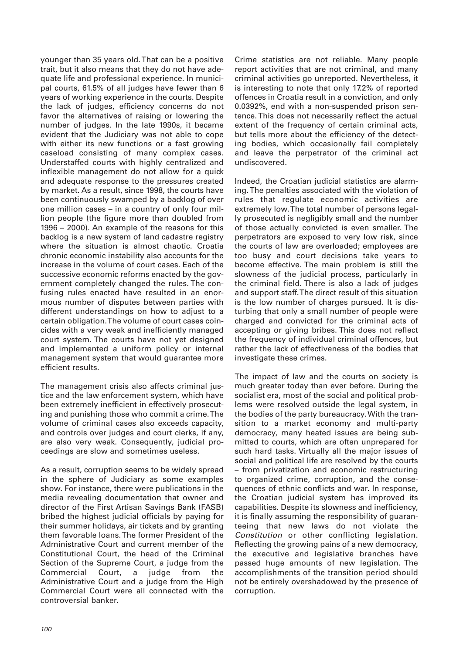younger than 35 years old. That can be a positive trait, but it also means that they do not have adequate life and professional experience. In municipal courts, 61.5% of all judges have fewer than 6 years of working experience in the courts. Despite the lack of judges, efficiency concerns do not favor the alternatives of raising or lowering the number of judges. In the late 1990s, it became evident that the Judiciary was not able to cope with either its new functions or a fast growing caseload consisting of many complex cases. Understaffed courts with highly centralized and inflexible management do not allow for a quick and adequate response to the pressures created by market. As a result, since 1998, the courts have been continuously swamped by a backlog of over one million cases – in a country of only four million people (the figure more than doubled from 1996 – 2000). An example of the reasons for this backlog is a new system of land cadastre registry where the situation is almost chaotic. Croatia chronic economic instability also accounts for the increase in the volume of court cases. Each of the successive economic reforms enacted by the government completely changed the rules. The confusing rules enacted have resulted in an enormous number of disputes between parties with different understandings on how to adjust to a certain obligation. The volume of court cases coincides with a very weak and inefficiently managed court system. The courts have not yet designed and implemented a uniform policy or internal management system that would guarantee more efficient results.

The management crisis also affects criminal justice and the law enforcement system, which have been extremely inefficient in effectively prosecuting and punishing those who commit a crime. The volume of criminal cases also exceeds capacity, and controls over judges and court clerks, if any, are also very weak. Consequently, judicial proceedings are slow and sometimes useless.

As a result, corruption seems to be widely spread in the sphere of Judiciary as some examples show. For instance, there were publications in the media revealing documentation that owner and director of the First Artisan Savings Bank (FASB) bribed the highest judicial officials by paying for their summer holidays, air tickets and by granting them favorable loans. The former President of the Administrative Court and current member of the Constitutional Court, the head of the Criminal Section of the Supreme Court, a judge from the Commercial Court, a judge from the Administrative Court and a judge from the High Commercial Court were all connected with the controversial banker.

Crime statistics are not reliable. Many people report activities that are not criminal, and many criminal activities go unreported. Nevertheless, it is interesting to note that only 17.2% of reported offences in Croatia result in a conviction, and only 0.0392%, end with a non-suspended prison sentence. This does not necessarily reflect the actual extent of the frequency of certain criminal acts, but tells more about the efficiency of the detecting bodies, which occasionally fail completely and leave the perpetrator of the criminal act undiscovered.

Indeed, the Croatian judicial statistics are alarming. The penalties associated with the violation of rules that regulate economic activities are extremely low. The total number of persons legally prosecuted is negligibly small and the number of those actually convicted is even smaller. The perpetrators are exposed to very low risk, since the courts of law are overloaded; employees are too busy and court decisions take years to become effective. The main problem is still the slowness of the judicial process, particularly in the criminal field. There is also a lack of judges and support staff. The direct result of this situation is the low number of charges pursued. It is disturbing that only a small number of people were charged and convicted for the criminal acts of accepting or giving bribes. This does not reflect the frequency of individual criminal offences, but rather the lack of effectiveness of the bodies that investigate these crimes.

The impact of law and the courts on society is much greater today than ever before. During the socialist era, most of the social and political problems were resolved outside the legal system, in the bodies of the party bureaucracy. With the transition to a market economy and multi-party democracy, many heated issues are being submitted to courts, which are often unprepared for such hard tasks. Virtually all the major issues of social and political life are resolved by the courts – from privatization and economic restructuring to organized crime, corruption, and the consequences of ethnic conflicts and war. In response, the Croatian judicial system has improved its capabilities. Despite its slowness and inefficiency, it is finally assuming the responsibility of guaranteeing that new laws do not violate the Constitution or other conflicting legislation. Reflecting the growing pains of a new democracy, the executive and legislative branches have passed huge amounts of new legislation. The accomplishments of the transition period should not be entirely overshadowed by the presence of corruption.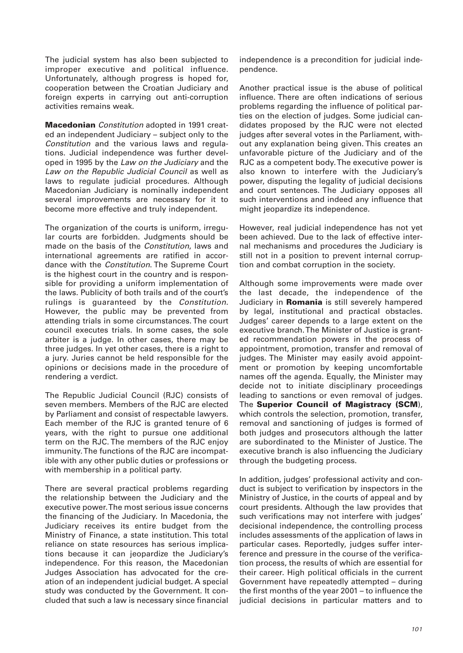The judicial system has also been subjected to improper executive and political influence. Unfortunately, although progress is hoped for, cooperation between the Croatian Judiciary and foreign experts in carrying out anti-corruption activities remains weak.

**Macedonian** Constitution adopted in 1991 created an independent Judiciary – subject only to the Constitution and the various laws and regulations. Judicial independence was further developed in 1995 by the Law on the Judiciary and the Law on the Republic Judicial Council as well as laws to regulate judicial procedures. Although Macedonian Judiciary is nominally independent several improvements are necessary for it to become more effective and truly independent.

The organization of the courts is uniform, irregular courts are forbidden. Judgments should be made on the basis of the Constitution, laws and international agreements are ratified in accordance with the Constitution. The Supreme Court is the highest court in the country and is responsible for providing a uniform implementation of the laws. Publicity of both trails and of the court's rulings is guaranteed by the Constitution. However, the public may be prevented from attending trials in some circumstances. The court council executes trials. In some cases, the sole arbiter is a judge. In other cases, there may be three judges. In yet other cases, there is a right to a jury. Juries cannot be held responsible for the opinions or decisions made in the procedure of rendering a verdict.

The Republic Judicial Council (RJC) consists of seven members. Members of the RJC are elected by Parliament and consist of respectable lawyers. Each member of the RJC is granted tenure of 6 years, with the right to pursue one additional term on the RJC. The members of the RJC enjoy immunity. The functions of the RJC are incompatible with any other public duties or professions or with membership in a political party.

There are several practical problems regarding the relationship between the Judiciary and the executive power. The most serious issue concerns the financing of the Judiciary. In Macedonia, the Judiciary receives its entire budget from the Ministry of Finance, a state institution. This total reliance on state resources has serious implications because it can jeopardize the Judiciary's independence. For this reason, the Macedonian Judges Association has advocated for the creation of an independent judicial budget. A special study was conducted by the Government. It concluded that such a law is necessary since financial

independence is a precondition for judicial independence.

Another practical issue is the abuse of political influence. There are often indications of serious problems regarding the influence of political parties on the election of judges. Some judicial candidates proposed by the RJC were not elected judges after several votes in the Parliament, without any explanation being given. This creates an unfavorable picture of the Judiciary and of the RJC as a competent body. The executive power is also known to interfere with the Judiciary's power, disputing the legality of judicial decisions and court sentences. The Judiciary opposes all such interventions and indeed any influence that might jeopardize its independence.

However, real judicial independence has not yet been achieved. Due to the lack of effective internal mechanisms and procedures the Judiciary is still not in a position to prevent internal corruption and combat corruption in the society.

Although some improvements were made over the last decade, the independence of the Judiciary in **Romania** is still severely hampered by legal, institutional and practical obstacles. Judges' career depends to a large extent on the executive branch. The Minister of Justice is granted recommendation powers in the process of appointment, promotion, transfer and removal of judges. The Minister may easily avoid appointment or promotion by keeping uncomfortable names off the agenda. Equally, the Minister may decide not to initiate disciplinary proceedings leading to sanctions or even removal of judges. The **Superior Council of Magistracy (SCM**), which controls the selection, promotion, transfer, removal and sanctioning of judges is formed of both judges and prosecutors although the latter are subordinated to the Minister of Justice. The executive branch is also influencing the Judiciary through the budgeting process.

In addition, judges' professional activity and conduct is subject to verification by inspectors in the Ministry of Justice, in the courts of appeal and by court presidents. Although the law provides that such verifications may not interfere with judges' decisional independence, the controlling process includes assessments of the application of laws in particular cases. Reportedly, judges suffer interference and pressure in the course of the verification process, the results of which are essential for their career. High political officials in the current Government have repeatedly attempted – during the first months of the year 2001 – to influence the judicial decisions in particular matters and to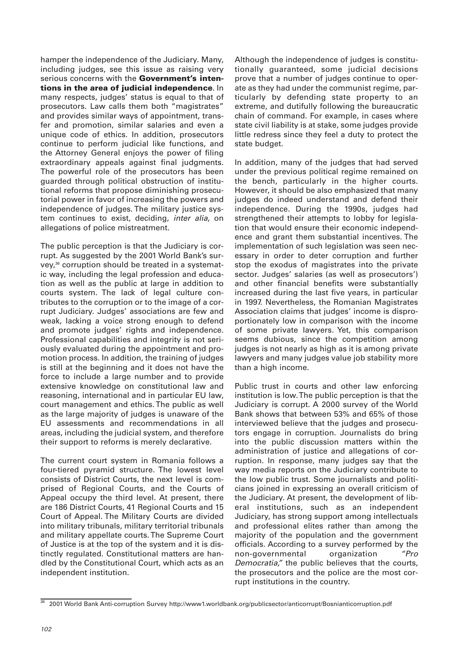hamper the independence of the Judiciary. Many, including judges, see this issue as raising very serious concerns with the **Government's intentions in the area of judicial independence**. In many respects, judges' status is equal to that of prosecutors. Law calls them both "magistrates" and provides similar ways of appointment, transfer and promotion, similar salaries and even a unique code of ethics. In addition, prosecutors continue to perform judicial like functions, and the Attorney General enjoys the power of filing extraordinary appeals against final judgments. The powerful role of the prosecutors has been guarded through political obstruction of institutional reforms that propose diminishing prosecutorial power in favor of increasing the powers and independence of judges. The military justice system continues to exist, deciding, inter alia, on allegations of police mistreatment.

The public perception is that the Judiciary is corrupt. As suggested by the 2001 World Bank's survey,<sup>36</sup> corruption should be treated in a systematic way, including the legal profession and education as well as the public at large in addition to courts system. The lack of legal culture contributes to the corruption or to the image of a corrupt Judiciary. Judges' associations are few and weak, lacking a voice strong enough to defend and promote judges' rights and independence. Professional capabilities and integrity is not seriously evaluated during the appointment and promotion process. In addition, the training of judges is still at the beginning and it does not have the force to include a large number and to provide extensive knowledge on constitutional law and reasoning, international and in particular EU law, court management and ethics. The public as well as the large majority of judges is unaware of the EU assessments and recommendations in all areas, including the judicial system, and therefore their support to reforms is merely declarative.

The current court system in Romania follows a four-tiered pyramid structure. The lowest level consists of District Courts, the next level is comprised of Regional Courts, and the Courts of Appeal occupy the third level. At present, there are 186 District Courts, 41 Regional Courts and 15 Court of Appeal. The Military Courts are divided into military tribunals, military territorial tribunals and military appellate courts. The Supreme Court of Justice is at the top of the system and it is distinctly regulated. Constitutional matters are handled by the Constitutional Court, which acts as an independent institution.

Although the independence of judges is constitutionally guaranteed, some judicial decisions prove that a number of judges continue to operate as they had under the communist regime, particularly by defending state property to an extreme, and dutifully following the bureaucratic chain of command. For example, in cases where state civil liability is at stake, some judges provide little redress since they feel a duty to protect the state budget.

In addition, many of the judges that had served under the previous political regime remained on the bench, particularly in the higher courts. However, it should be also emphasized that many judges do indeed understand and defend their independence. During the 1990s, judges had strengthened their attempts to lobby for legislation that would ensure their economic independence and grant them substantial incentives. The implementation of such legislation was seen necessary in order to deter corruption and further stop the exodus of magistrates into the private sector. Judges' salaries (as well as prosecutors') and other financial benefits were substantially increased during the last five years, in particular in 1997. Nevertheless, the Romanian Magistrates Association claims that judges' income is disproportionately low in comparison with the income of some private lawyers. Yet, this comparison seems dubious, since the competition among judges is not nearly as high as it is among private lawyers and many judges value job stability more than a high income.

Public trust in courts and other law enforcing institution is low. The public perception is that the Judiciary is corrupt. A 2000 survey of the World Bank shows that between 53% and 65% of those interviewed believe that the judges and prosecutors engage in corruption. Journalists do bring into the public discussion matters within the administration of justice and allegations of corruption. In response, many judges say that the way media reports on the Judiciary contribute to the low public trust. Some journalists and politicians joined in expressing an overall criticism of the Judiciary. At present, the development of liberal institutions, such as an independent Judiciary, has strong support among intellectuals and professional elites rather than among the majority of the population and the government officials. According to a survey performed by the non-governmental organization "Pro Democratia," the public believes that the courts, the prosecutors and the police are the most corrupt institutions in the country.

<sup>36</sup> 2001 World Bank Anti-corruption Survey http://www1.worldbank.org/publicsector/anticorrupt/Bosnianticorruption.pdf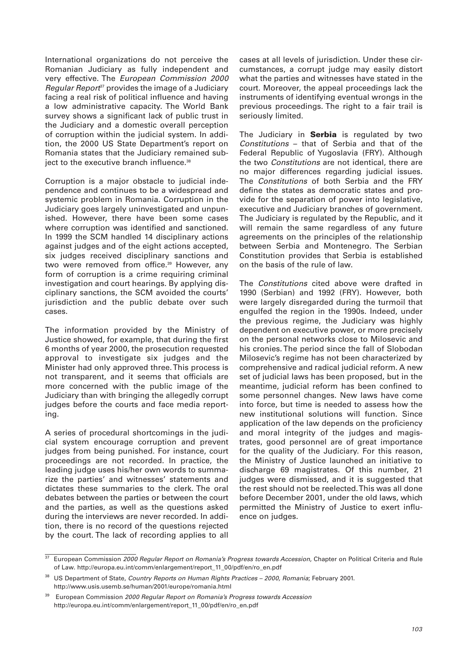International organizations do not perceive the Romanian Judiciary as fully independent and very effective. The European Commission 2000 Regular Report<sup>37</sup> provides the image of a Judiciary facing a real risk of political influence and having a low administrative capacity. The World Bank survey shows a significant lack of public trust in the Judiciary and a domestic overall perception of corruption within the judicial system. In addition, the 2000 US State Department's report on Romania states that the Judiciary remained subject to the executive branch influence.<sup>38</sup>

Corruption is a major obstacle to judicial independence and continues to be a widespread and systemic problem in Romania. Corruption in the Judiciary goes largely uninvestigated and unpunished. However, there have been some cases where corruption was identified and sanctioned. In 1999 the SCM handled 14 disciplinary actions against judges and of the eight actions accepted, six judges received disciplinary sanctions and two were removed from office.<sup>39</sup> However, any form of corruption is a crime requiring criminal investigation and court hearings. By applying disciplinary sanctions, the SCM avoided the courts' jurisdiction and the public debate over such cases.

The information provided by the Ministry of Justice showed, for example, that during the first 6 months of year 2000, the prosecution requested approval to investigate six judges and the Minister had only approved three. This process is not transparent, and it seems that officials are more concerned with the public image of the Judiciary than with bringing the allegedly corrupt judges before the courts and face media reporting.

A series of procedural shortcomings in the judicial system encourage corruption and prevent judges from being punished. For instance, court proceedings are not recorded. In practice, the leading judge uses his/her own words to summarize the parties' and witnesses' statements and dictates these summaries to the clerk. The oral debates between the parties or between the court and the parties, as well as the questions asked during the interviews are never recorded. In addition, there is no record of the questions rejected by the court. The lack of recording applies to all

cases at all levels of jurisdiction. Under these circumstances, a corrupt judge may easily distort what the parties and witnesses have stated in the court. Moreover, the appeal proceedings lack the instruments of identifying eventual wrongs in the previous proceedings. The right to a fair trail is seriously limited.

The Judiciary in **Serbia** is regulated by two Constitutions – that of Serbia and that of the Federal Republic of Yugoslavia (FRY). Although the two Constitutions are not identical, there are no major differences regarding judicial issues. The Constitutions of both Serbia and the FRY define the states as democratic states and provide for the separation of power into legislative, executive and Judiciary branches of government. The Judiciary is regulated by the Republic, and it will remain the same regardless of any future agreements on the principles of the relationship between Serbia and Montenegro. The Serbian Constitution provides that Serbia is established on the basis of the rule of law.

The Constitutions cited above were drafted in 1990 (Serbian) and 1992 (FRY). However, both were largely disregarded during the turmoil that engulfed the region in the 1990s. Indeed, under the previous regime, the Judiciary was highly dependent on executive power, or more precisely on the personal networks close to Milosevic and his cronies. The period since the fall of Slobodan Milosevic's regime has not been characterized by comprehensive and radical judicial reform. A new set of judicial laws has been proposed, but in the meantime, judicial reform has been confined to some personnel changes. New laws have come into force, but time is needed to assess how the new institutional solutions will function. Since application of the law depends on the proficiency and moral integrity of the judges and magistrates, good personnel are of great importance for the quality of the Judiciary. For this reason, the Ministry of Justice launched an initiative to discharge 69 magistrates. Of this number, 21 judges were dismissed, and it is suggested that the rest should not be reelected. This was all done before December 2001, under the old laws, which permitted the Ministry of Justice to exert influence on judges.

 $\frac{37}{37}$  European Commission 2000 Regular Report on Romania's Progress towards Accession, Chapter on Political Criteria and Rule of Law. http://europa.eu.int/comm/enlargement/report\_11\_00/pdf/en/ro\_en.pdf

<sup>&</sup>lt;sup>38</sup> US Department of State, Country Reports on Human Rights Practices - 2000, Romania; February 2001. http://www.usis.usemb.se/human/2001/europe/romania.html

European Commission 2000 Regular Report on Romania's Progress towards Accession http://europa.eu.int/comm/enlargement/report\_11\_00/pdf/en/ro\_en.pdf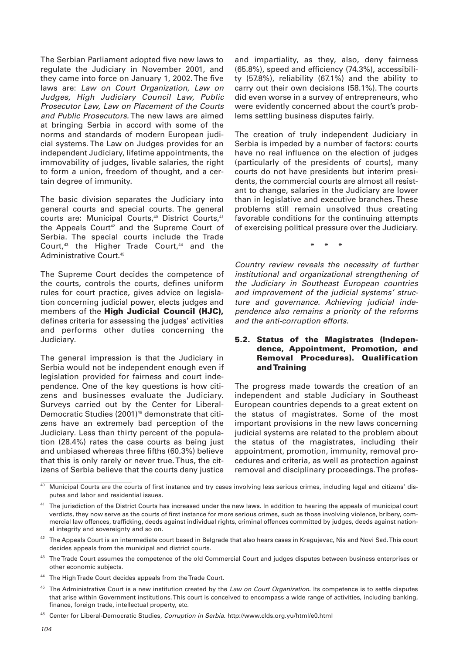The Serbian Parliament adopted five new laws to regulate the Judiciary in November 2001, and they came into force on January 1, 2002. The five laws are: Law on Court Organization, Law on Judges, High Judiciary Council Law, Public Prosecutor Law, Law on Placement of the Courts and Public Prosecutors. The new laws are aimed at bringing Serbia in accord with some of the norms and standards of modern European judicial systems. The Law on Judges provides for an independent Judiciary, lifetime appointments, the immovability of judges, livable salaries, the right to form a union, freedom of thought, and a certain degree of immunity.

The basic division separates the Judiciary into general courts and special courts. The general courts are: Municipal Courts,<sup>40</sup> District Courts,<sup>41</sup> the Appeals Court<sup>42</sup> and the Supreme Court of Serbia. The special courts include the Trade Court,<sup>43</sup> the Higher Trade Court,<sup>44</sup> and the Administrative Court.45

The Supreme Court decides the competence of the courts, controls the courts, defines uniform rules for court practice, gives advice on legislation concerning judicial power, elects judges and members of the **High Judicial Council (HJC),** defines criteria for assessing the judges' activities and performs other duties concerning the Judiciary.

The general impression is that the Judiciary in Serbia would not be independent enough even if legislation provided for fairness and court independence. One of the key questions is how citizens and businesses evaluate the Judiciary. Surveys carried out by the Center for Liberal-Democratic Studies (2001)<sup>46</sup> demonstrate that citizens have an extremely bad perception of the Judiciary. Less than thirty percent of the population (28.4%) rates the case courts as being just and unbiased whereas three fifths (60.3%) believe that this is only rarely or never true. Thus, the citizens of Serbia believe that the courts deny justice

and impartiality, as they, also, deny fairness (65.8%), speed and efficiency (74.3%), accessibility (57.8%), reliability (67.1%) and the ability to carry out their own decisions (58.1%). The courts did even worse in a survey of entrepreneurs, who were evidently concerned about the court's problems settling business disputes fairly.

The creation of truly independent Judiciary in Serbia is impeded by a number of factors: courts have no real influence on the election of judges (particularly of the presidents of courts), many courts do not have presidents but interim presidents, the commercial courts are almost all resistant to change, salaries in the Judiciary are lower than in legislative and executive branches. These problems still remain unsolved thus creating favorable conditions for the continuing attempts of exercising political pressure over the Judiciary.

\* \* \*

Country review reveals the necessity of further institutional and organizational strengthening of the Judiciary in Southeast European countries and improvement of the judicial systems' structure and governance. Achieving judicial independence also remains a priority of the reforms and the anti-corruption efforts.

## **5.2. Status of the Magistrates (Independence, Appointment, Promotion, and Removal Procedures). Qualification and Training**

The progress made towards the creation of an independent and stable Judiciary in Southeast European countries depends to a great extent on the status of magistrates. Some of the most important provisions in the new laws concerning judicial systems are related to the problem about the status of the magistrates, including their appointment, promotion, immunity, removal procedures and criteria, as well as protection against removal and disciplinary proceedings. The profes-

- <sup>43</sup> The Trade Court assumes the competence of the old Commercial Court and judges disputes between business enterprises or other economic subjects.
- <sup>44</sup> The High Trade Court decides appeals from the Trade Court.
- <sup>45</sup> The Administrative Court is a new institution created by the Law on Court Organization. Its competence is to settle disputes that arise within Government institutions. This court is conceived to encompass a wide range of activities, including banking, finance, foreign trade, intellectual property, etc.

<sup>40</sup> Municipal Courts are the courts of first instance and try cases involving less serious crimes, including legal and citizens' disputes and labor and residential issues.

<sup>&</sup>lt;sup>41</sup> The jurisdiction of the District Courts has increased under the new laws. In addition to hearing the appeals of municipal court verdicts, they now serve as the courts of first instance for more serious crimes, such as those involving violence, bribery, commercial law offences, trafficking, deeds against individual rights, criminal offences committed by judges, deeds against national integrity and sovereignty and so on.

 $42$  The Appeals Court is an intermediate court based in Belgrade that also hears cases in Kragujevac, Nis and Novi Sad. This court decides appeals from the municipal and district courts.

<sup>46</sup> Center for Liberal-Democratic Studies, Corruption in Serbia. http://www.clds.org.yu/html/e0.html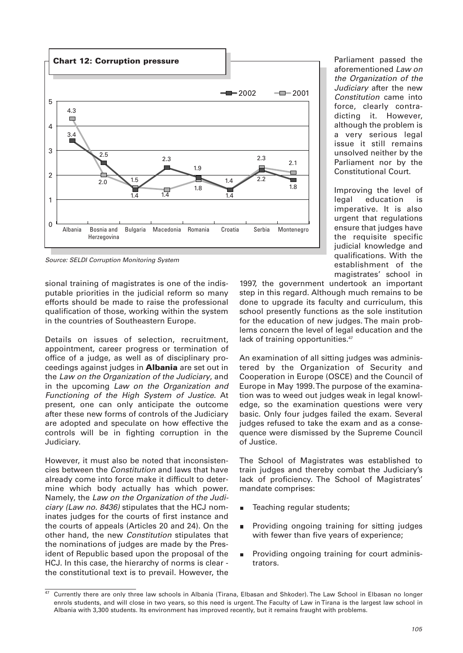

Source: SELDI Corruption Monitoring System

sional training of magistrates is one of the indisputable priorities in the judicial reform so many efforts should be made to raise the professional qualification of those, working within the system in the countries of Southeastern Europe.

Details on issues of selection, recruitment, appointment, career progress or termination of office of a judge, as well as of disciplinary proceedings against judges in **Albania** are set out in the Law on the Organization of the Judiciary, and in the upcoming Law on the Organization and Functioning of the High System of Justice. At present, one can only anticipate the outcome after these new forms of controls of the Judiciary are adopted and speculate on how effective the controls will be in fighting corruption in the Judiciary.

However, it must also be noted that inconsistencies between the Constitution and laws that have already come into force make it difficult to determine which body actually has which power. Namely, the Law on the Organization of the Judiciary (Law no. 8436) stipulates that the HCJ nominates judges for the courts of first instance and the courts of appeals (Articles 20 and 24). On the other hand, the new Constitution stipulates that the nominations of judges are made by the President of Republic based upon the proposal of the HCJ. In this case, the hierarchy of norms is clear the constitutional text is to prevail. However, the

Parliament passed the aforementioned Law on the Organization of the Judiciary after the new Constitution came into force, clearly contradicting it. However, although the problem is a very serious legal issue it still remains unsolved neither by the Parliament nor by the Constitutional Court.

Improving the level of legal education is imperative. It is also urgent that regulations ensure that judges have the requisite specific judicial knowledge and qualifications. With the establishment of the magistrates' school in

1997, the government undertook an important step in this regard. Although much remains to be done to upgrade its faculty and curriculum, this school presently functions as the sole institution for the education of new judges. The main problems concern the level of legal education and the lack of training opportunities.<sup>47</sup>

An examination of all sitting judges was administered by the Organization of Security and Cooperation in Europe (OSCE) and the Council of Europe in May 1999. The purpose of the examination was to weed out judges weak in legal knowledge, so the examination questions were very basic. Only four judges failed the exam. Several judges refused to take the exam and as a consequence were dismissed by the Supreme Council of Justice.

The School of Magistrates was established to train judges and thereby combat the Judiciary's lack of proficiency. The School of Magistrates' mandate comprises:

- Teaching regular students;
- Providing ongoing training for sitting judges with fewer than five years of experience;
- Providing ongoing training for court adminis- $\blacksquare$ trators.

 $\frac{47}{12}$  Currently there are only three law schools in Albania (Tirana, Elbasan and Shkoder). The Law School in Elbasan no longer enrols students, and will close in two years, so this need is urgent. The Faculty of Law in Tirana is the largest law school in Albania with 3,300 students. Its environment has improved recently, but it remains fraught with problems.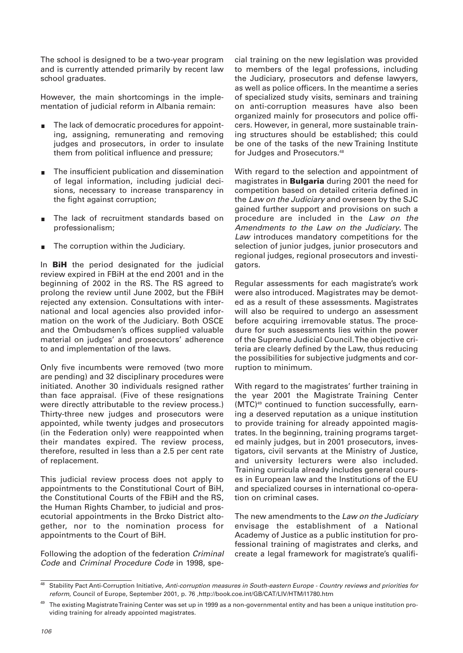The school is designed to be a two-year program and is currently attended primarily by recent law school graduates.

However, the main shortcomings in the implementation of judicial reform in Albania remain:

- The lack of democratic procedures for appointing, assigning, remunerating and removing judges and prosecutors, in order to insulate them from political influence and pressure;
- The insufficient publication and dissemination of legal information, including judicial decisions, necessary to increase transparency in the fight against corruption;
- The lack of recruitment standards based on professionalism;
- The corruption within the Judiciary.

In **BiH** the period designated for the judicial review expired in FBiH at the end 2001 and in the beginning of 2002 in the RS. The RS agreed to prolong the review until June 2002, but the FBiH rejected any extension. Consultations with international and local agencies also provided information on the work of the Judiciary. Both OSCE and the Ombudsmen's offices supplied valuable material on judges' and prosecutors' adherence to and implementation of the laws.

Only five incumbents were removed (two more are pending) and 32 disciplinary procedures were initiated. Another 30 individuals resigned rather than face appraisal. (Five of these resignations were directly attributable to the review process.) Thirty-three new judges and prosecutors were appointed, while twenty judges and prosecutors (in the Federation only) were reappointed when their mandates expired. The review process, therefore, resulted in less than a 2.5 per cent rate of replacement.

This judicial review process does not apply to appointments to the Constitutional Court of BiH, the Constitutional Courts of the FBiH and the RS, the Human Rights Chamber, to judicial and prosecutorial appointments in the Brcko District altogether, nor to the nomination process for appointments to the Court of BiH.

Following the adoption of the federation Criminal Code and Criminal Procedure Code in 1998, special training on the new legislation was provided to members of the legal professions, including the Judiciary, prosecutors and defense lawyers, as well as police officers. In the meantime a series of specialized study visits, seminars and training on anti-corruption measures have also been organized mainly for prosecutors and police officers. However, in general, more sustainable training structures should be established; this could be one of the tasks of the new Training Institute for Judges and Prosecutors.<sup>48</sup>

With regard to the selection and appointment of magistrates in **Bulgaria** during 2001 the need for competition based on detailed criteria defined in the Law on the Judiciary and overseen by the SJC gained further support and provisions on such a procedure are included in the Law on the Amendments to the Law on the Judiciary. The Law introduces mandatory competitions for the selection of junior judges, junior prosecutors and regional judges, regional prosecutors and investigators.

Regular assessments for each magistrate's work were also introduced. Magistrates may be demoted as a result of these assessments. Magistrates will also be required to undergo an assessment before acquiring irremovable status. The procedure for such assessments lies within the power of the Supreme Judicial Council. The objective criteria are clearly defined by the Law, thus reducing the possibilities for subjective judgments and corruption to minimum.

With regard to the magistrates' further training in the year 2001 the Magistrate Training Center (MTC)49 continued to function successfully, earning a deserved reputation as a unique institution to provide training for already appointed magistrates. In the beginning, training programs targeted mainly judges, but in 2001 prosecutors, investigators, civil servants at the Ministry of Justice, and university lecturers were also included. Training curricula already includes general courses in European law and the Institutions of the EU and specialized courses in international co-operation on criminal cases.

The new amendments to the Law on the Judiciary envisage the establishment of a National Academy of Justice as a public institution for professional training of magistrates and clerks, and create a legal framework for magistrate's qualifi-

Stability Pact Anti-Corruption Initiative, Anti-corruption measures in South-eastern Europe - Country reviews and priorities for reform, Council of Europe, September 2001, p. 76 ,http://book.coe.int/GB/CAT/LIV/HTM/l1780.htm

<sup>&</sup>lt;sup>49</sup> The existing Magistrate Training Center was set up in 1999 as a non-governmental entity and has been a unique institution providing training for already appointed magistrates.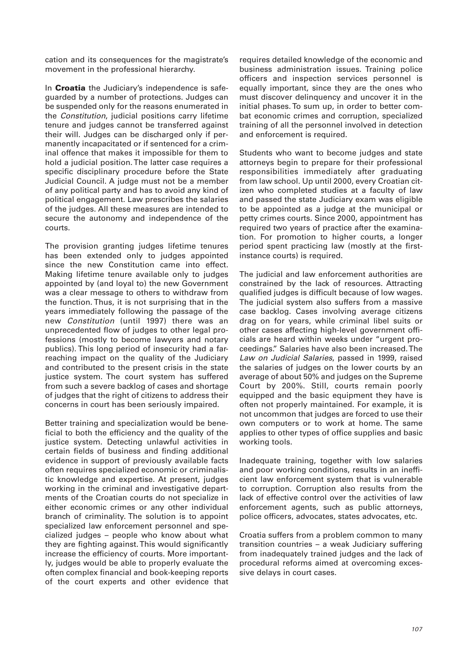cation and its consequences for the magistrate's movement in the professional hierarchy.

In **Croatia** the Judiciary's independence is safeguarded by a number of protections. Judges can be suspended only for the reasons enumerated in the Constitution, judicial positions carry lifetime tenure and judges cannot be transferred against their will. Judges can be discharged only if permanently incapacitated or if sentenced for a criminal offence that makes it impossible for them to hold a judicial position. The latter case requires a specific disciplinary procedure before the State Judicial Council. A judge must not be a member of any political party and has to avoid any kind of political engagement. Law prescribes the salaries of the judges. All these measures are intended to secure the autonomy and independence of the courts.

The provision granting judges lifetime tenures has been extended only to judges appointed since the new Constitution came into effect. Making lifetime tenure available only to judges appointed by (and loyal to) the new Government was a clear message to others to withdraw from the function. Thus, it is not surprising that in the years immediately following the passage of the new Constitution (until 1997) there was an unprecedented flow of judges to other legal professions (mostly to become lawyers and notary publics). This long period of insecurity had a farreaching impact on the quality of the Judiciary and contributed to the present crisis in the state justice system. The court system has suffered from such a severe backlog of cases and shortage of judges that the right of citizens to address their concerns in court has been seriously impaired.

Better training and specialization would be beneficial to both the efficiency and the quality of the justice system. Detecting unlawful activities in certain fields of business and finding additional evidence in support of previously available facts often requires specialized economic or criminalistic knowledge and expertise. At present, judges working in the criminal and investigative departments of the Croatian courts do not specialize in either economic crimes or any other individual branch of criminality. The solution is to appoint specialized law enforcement personnel and specialized judges – people who know about what they are fighting against. This would significantly increase the efficiency of courts. More importantly, judges would be able to properly evaluate the often complex financial and book-keeping reports of the court experts and other evidence that

requires detailed knowledge of the economic and business administration issues. Training police officers and inspection services personnel is equally important, since they are the ones who must discover delinquency and uncover it in the initial phases. To sum up, in order to better combat economic crimes and corruption, specialized training of all the personnel involved in detection and enforcement is required.

Students who want to become judges and state attorneys begin to prepare for their professional responsibilities immediately after graduating from law school. Up until 2000, every Croatian citizen who completed studies at a faculty of law and passed the state Judiciary exam was eligible to be appointed as a judge at the municipal or petty crimes courts. Since 2000, appointment has required two years of practice after the examination. For promotion to higher courts, a longer period spent practicing law (mostly at the firstinstance courts) is required.

The judicial and law enforcement authorities are constrained by the lack of resources. Attracting qualified judges is difficult because of low wages. The judicial system also suffers from a massive case backlog. Cases involving average citizens drag on for years, while criminal libel suits or other cases affecting high-level government officials are heard within weeks under "urgent proceedings." Salaries have also been increased. The Law on Judicial Salaries, passed in 1999, raised the salaries of judges on the lower courts by an average of about 50% and judges on the Supreme Court by 200%. Still, courts remain poorly equipped and the basic equipment they have is often not properly maintained. For example, it is not uncommon that judges are forced to use their own computers or to work at home. The same applies to other types of office supplies and basic working tools.

Inadequate training, together with low salaries and poor working conditions, results in an inefficient law enforcement system that is vulnerable to corruption. Corruption also results from the lack of effective control over the activities of law enforcement agents, such as public attorneys, police officers, advocates, states advocates, etc.

Croatia suffers from a problem common to many transition countries – a weak Judiciary suffering from inadequately trained judges and the lack of procedural reforms aimed at overcoming excessive delays in court cases.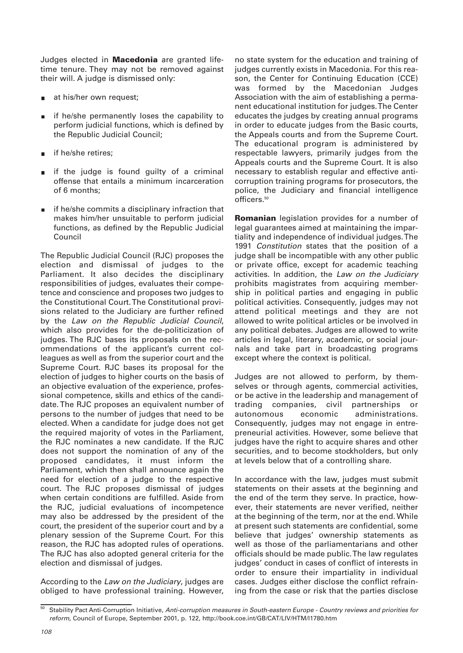Judges elected in **Macedonia** are granted lifetime tenure. They may not be removed against their will. A judge is dismissed only:

- at his/her own request;
- if he/she permanently loses the capability to perform judicial functions, which is defined by the Republic Judicial Council;
- if he/she retires;
- if the judge is found guilty of a criminal offense that entails a minimum incarceration of 6 months;
- if he/she commits a disciplinary infraction that makes him/her unsuitable to perform judicial functions, as defined by the Republic Judicial Council

The Republic Judicial Council (RJC) proposes the election and dismissal of judges to the Parliament. It also decides the disciplinary responsibilities of judges, evaluates their competence and conscience and proposes two judges to the Constitutional Court. The Constitutional provisions related to the Judiciary are further refined by the Law on the Republic Judicial Council, which also provides for the de-politicization of judges. The RJC bases its proposals on the recommendations of the applicant's current colleagues as well as from the superior court and the Supreme Court. RJC bases its proposal for the election of judges to higher courts on the basis of an objective evaluation of the experience, professional competence, skills and ethics of the candidate. The RJC proposes an equivalent number of persons to the number of judges that need to be elected. When a candidate for judge does not get the required majority of votes in the Parliament, the RJC nominates a new candidate. If the RJC does not support the nomination of any of the proposed candidates, it must inform the Parliament, which then shall announce again the need for election of a judge to the respective court. The RJC proposes dismissal of judges when certain conditions are fulfilled. Aside from the RJC, judicial evaluations of incompetence may also be addressed by the president of the court, the president of the superior court and by a plenary session of the Supreme Court. For this reason, the RJC has adopted rules of operations. The RJC has also adopted general criteria for the election and dismissal of judges.

According to the Law on the Judiciary, judges are obliged to have professional training. However, no state system for the education and training of judges currently exists in Macedonia. For this reason, the Center for Continuing Education (CCE) was formed by the Macedonian Judges Association with the aim of establishing a permanent educational institution for judges. The Center educates the judges by creating annual programs in order to educate judges from the Basic courts, the Appeals courts and from the Supreme Court. The educational program is administered by respectable lawyers, primarily judges from the Appeals courts and the Supreme Court. It is also necessary to establish regular and effective anticorruption training programs for prosecutors, the police, the Judiciary and financial intelligence officers.<sup>50</sup>

**Romanian** legislation provides for a number of legal guarantees aimed at maintaining the impartiality and independence of individual judges. The 1991 Constitution states that the position of a judge shall be incompatible with any other public or private office, except for academic teaching activities. In addition, the Law on the Judiciary prohibits magistrates from acquiring membership in political parties and engaging in public political activities. Consequently, judges may not attend political meetings and they are not allowed to write political articles or be involved in any political debates. Judges are allowed to write articles in legal, literary, academic, or social journals and take part in broadcasting programs except where the context is political.

Judges are not allowed to perform, by themselves or through agents, commercial activities, or be active in the leadership and management of trading companies, civil partnerships or autonomous economic administrations. Consequently, judges may not engage in entrepreneurial activities. However, some believe that judges have the right to acquire shares and other securities, and to become stockholders, but only at levels below that of a controlling share.

In accordance with the law, judges must submit statements on their assets at the beginning and the end of the term they serve. In practice, however, their statements are never verified, neither at the beginning of the term, nor at the end. While at present such statements are confidential, some believe that judges' ownership statements as well as those of the parliamentarians and other officials should be made public. The law regulates judges' conduct in cases of conflict of interests in order to ensure their impartiality in individual cases. Judges either disclose the conflict refraining from the case or risk that the parties disclose

<sup>&</sup>lt;sup>50</sup> Stability Pact Anti-Corruption Initiative, Anti-corruption measures in South-eastern Europe - Country reviews and priorities for reform, Council of Europe, September 2001, p. 122, http://book.coe.int/GB/CAT/LIV/HTM/l1780.htm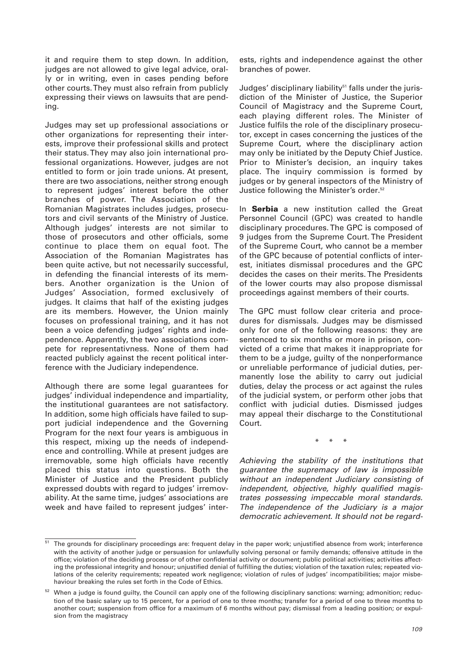it and require them to step down. In addition, judges are not allowed to give legal advice, orally or in writing, even in cases pending before other courts. They must also refrain from publicly expressing their views on lawsuits that are pending.

Judges may set up professional associations or other organizations for representing their interests, improve their professional skills and protect their status. They may also join international professional organizations. However, judges are not entitled to form or join trade unions. At present, there are two associations, neither strong enough to represent judges' interest before the other branches of power. The Association of the Romanian Magistrates includes judges, prosecutors and civil servants of the Ministry of Justice. Although judges' interests are not similar to those of prosecutors and other officials, some continue to place them on equal foot. The Association of the Romanian Magistrates has been quite active, but not necessarily successful, in defending the financial interests of its members. Another organization is the Union of Judges' Association, formed exclusively of judges. It claims that half of the existing judges are its members. However, the Union mainly focuses on professional training, and it has not been a voice defending judges' rights and independence. Apparently, the two associations compete for representativness. None of them had reacted publicly against the recent political interference with the Judiciary independence.

Although there are some legal guarantees for judges' individual independence and impartiality, the institutional guarantees are not satisfactory. In addition, some high officials have failed to support judicial independence and the Governing Program for the next four years is ambiguous in this respect, mixing up the needs of independence and controlling. While at present judges are irremovable, some high officials have recently placed this status into questions. Both the Minister of Justice and the President publicly expressed doubts with regard to judges' irremovability. At the same time, judges' associations are week and have failed to represent judges' interests, rights and independence against the other branches of power.

Judges' disciplinary liability<sup>51</sup> falls under the jurisdiction of the Minister of Justice, the Superior Council of Magistracy and the Supreme Court, each playing different roles. The Minister of Justice fulfils the role of the disciplinary prosecutor, except in cases concerning the justices of the Supreme Court, where the disciplinary action may only be initiated by the Deputy Chief Justice. Prior to Minister's decision, an inquiry takes place. The inquiry commission is formed by judges or by general inspectors of the Ministry of Justice following the Minister's order.52

In **Serbia** a new institution called the Great Personnel Council (GPC) was created to handle disciplinary procedures. The GPC is composed of 9 judges from the Supreme Court. The President of the Supreme Court, who cannot be a member of the GPC because of potential conflicts of interest, initiates dismissal procedures and the GPC decides the cases on their merits. The Presidents of the lower courts may also propose dismissal proceedings against members of their courts.

The GPC must follow clear criteria and procedures for dismissals. Judges may be dismissed only for one of the following reasons: they are sentenced to six months or more in prison, convicted of a crime that makes it inappropriate for them to be a judge, guilty of the nonperformance or unreliable performance of judicial duties, permanently lose the ability to carry out judicial duties, delay the process or act against the rules of the judicial system, or perform other jobs that conflict with judicial duties. Dismissed judges may appeal their discharge to the Constitutional Court.

\* \* \*

Achieving the stability of the institutions that guarantee the supremacy of law is impossible without an independent Judiciary consisting of independent, objective, highly qualified magistrates possessing impeccable moral standards. The independence of the Judiciary is a major democratic achievement. It should not be regard-

<sup>&</sup>lt;sup>51</sup> The grounds for disciplinary proceedings are: frequent delay in the paper work; unjustified absence from work; interference with the activity of another judge or persuasion for unlawfully solving personal or family demands; offensive attitude in the office; violation of the deciding process or of other confidential activity or document; public political activities; activities affecting the professional integrity and honour; unjustified denial of fulfilling the duties; violation of the taxation rules; repeated violations of the celerity requirements; repeated work negligence; violation of rules of judges' incompatibilities; major misbehaviour breaking the rules set forth in the Code of Ethics.

<sup>52</sup> When a judge is found guilty, the Council can apply one of the following disciplinary sanctions: warning; admonition; reduction of the basic salary up to 15 percent, for a period of one to three months; transfer for a period of one to three months to another court; suspension from office for a maximum of 6 months without pay; dismissal from a leading position; or expulsion from the magistracy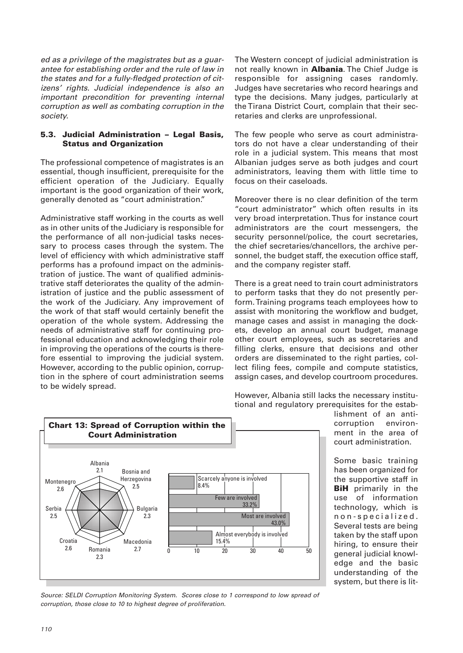ed as a privilege of the magistrates but as a guarantee for establishing order and the rule of law in the states and for a fully-fledged protection of citizens' rights. Judicial independence is also an important precondition for preventing internal corruption as well as combating corruption in the society.

## **5.3. Judicial Administration – Legal Basis, Status and Organization**

The professional competence of magistrates is an essential, though insufficient, prerequisite for the efficient operation of the Judiciary. Equally important is the good organization of their work, generally denoted as "court administration."

Administrative staff working in the courts as well as in other units of the Judiciary is responsible for the performance of all non-judicial tasks necessary to process cases through the system. The level of efficiency with which administrative staff performs has a profound impact on the administration of justice. The want of qualified administrative staff deteriorates the quality of the administration of justice and the public assessment of the work of the Judiciary. Any improvement of the work of that staff would certainly benefit the operation of the whole system. Addressing the needs of administrative staff for continuing professional education and acknowledging their role in improving the operations of the courts is therefore essential to improving the judicial system. However, according to the public opinion, corruption in the sphere of court administration seems to be widely spread.

The Western concept of judicial administration is not really known in **Albania**. The Chief Judge is responsible for assigning cases randomly. Judges have secretaries who record hearings and type the decisions. Many judges, particularly at the Tirana District Court, complain that their secretaries and clerks are unprofessional.

The few people who serve as court administrators do not have a clear understanding of their role in a judicial system. This means that most Albanian judges serve as both judges and court administrators, leaving them with little time to focus on their caseloads.

Moreover there is no clear definition of the term "court administrator" which often results in its very broad interpretation. Thus for instance court administrators are the court messengers, the security personnel/police, the court secretaries, the chief secretaries/chancellors, the archive personnel, the budget staff, the execution office staff, and the company register staff.

There is a great need to train court administrators to perform tasks that they do not presently perform. Training programs teach employees how to assist with monitoring the workflow and budget, manage cases and assist in managing the dockets, develop an annual court budget, manage other court employees, such as secretaries and filling clerks, ensure that decisions and other orders are disseminated to the right parties, collect filing fees, compile and compute statistics, assign cases, and develop courtroom procedures.

However, Albania still lacks the necessary institutional and regulatory prerequisites for the estab-



lishment of an anticorruption environment in the area of court administration.

Some basic training has been organized for the supportive staff in **BiH** primarily in the use of information technology, which is non-specialized. Several tests are being taken by the staff upon hiring, to ensure their general judicial knowledge and the basic understanding of the system, but there is lit-

Source: SELDI Corruption Monitoring System. Scores close to 1 correspond to low spread of corruption, those close to 10 to highest degree of proliferation.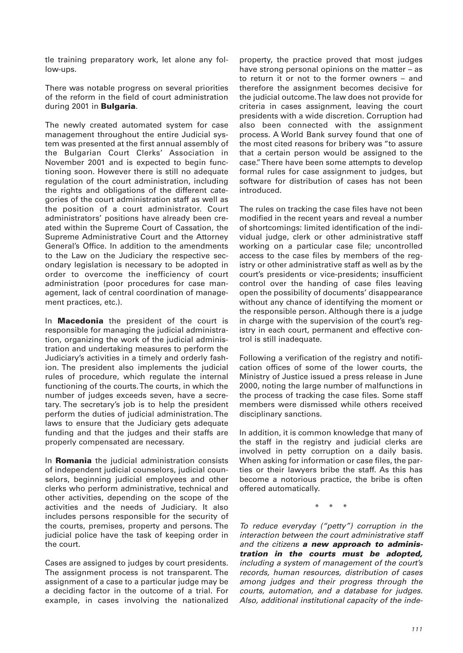tle training preparatory work, let alone any follow-ups.

There was notable progress on several priorities of the reform in the field of court administration during 2001 in **Bulgaria**.

The newly created automated system for case management throughout the entire Judicial system was presented at the first annual assembly of the Bulgarian Court Clerks' Association in November 2001 and is expected to begin functioning soon. However there is still no adequate regulation of the court administration, including the rights and obligations of the different categories of the court administration staff as well as the position of a court administrator. Court administrators' positions have already been created within the Supreme Court of Cassation, the Supreme Administrative Court and the Attorney General's Office. In addition to the amendments to the Law on the Judiciary the respective secondary legislation is necessary to be adopted in order to overcome the inefficiency of court administration (poor procedures for case management, lack of central coordination of management practices, etc.).

In **Macedonia** the president of the court is responsible for managing the judicial administration, organizing the work of the judicial administration and undertaking measures to perform the Judiciary's activities in a timely and orderly fashion. The president also implements the judicial rules of procedure, which regulate the internal functioning of the courts. The courts, in which the number of judges exceeds seven, have a secretary. The secretary's job is to help the president perform the duties of judicial administration. The laws to ensure that the Judiciary gets adequate funding and that the judges and their staffs are properly compensated are necessary.

In **Romania** the judicial administration consists of independent judicial counselors, judicial counselors, beginning judicial employees and other clerks who perform administrative, technical and other activities, depending on the scope of the activities and the needs of Judiciary. It also includes persons responsible for the security of the courts, premises, property and persons. The judicial police have the task of keeping order in the court.

Cases are assigned to judges by court presidents. The assignment process is not transparent. The assignment of a case to a particular judge may be a deciding factor in the outcome of a trial. For example, in cases involving the nationalized property, the practice proved that most judges have strong personal opinions on the matter – as to return it or not to the former owners – and therefore the assignment becomes decisive for the judicial outcome. The law does not provide for criteria in cases assignment, leaving the court presidents with a wide discretion. Corruption had also been connected with the assignment process. A World Bank survey found that one of the most cited reasons for bribery was "to assure that a certain person would be assigned to the case." There have been some attempts to develop formal rules for case assignment to judges, but software for distribution of cases has not been introduced.

The rules on tracking the case files have not been modified in the recent years and reveal a number of shortcomings: limited identification of the individual judge, clerk or other administrative staff working on a particular case file; uncontrolled access to the case files by members of the registry or other administrative staff as well as by the court's presidents or vice-presidents; insufficient control over the handing of case files leaving open the possibility of documents' disappearance without any chance of identifying the moment or the responsible person. Although there is a judge in charge with the supervision of the court's registry in each court, permanent and effective control is still inadequate.

Following a verification of the registry and notification offices of some of the lower courts, the Ministry of Justice issued a press release in June 2000, noting the large number of malfunctions in the process of tracking the case files. Some staff members were dismissed while others received disciplinary sanctions.

In addition, it is common knowledge that many of the staff in the registry and judicial clerks are involved in petty corruption on a daily basis. When asking for information or case files, the parties or their lawyers bribe the staff. As this has become a notorious practice, the bribe is often offered automatically.

\* \* \*

To reduce everyday ("petty") corruption in the interaction between the court administrative staff and the citizens *a new approach to administration in the courts must be adopted,* including a system of management of the court's records, human resources, distribution of cases among judges and their progress through the courts, automation, and a database for judges. Also, additional institutional capacity of the inde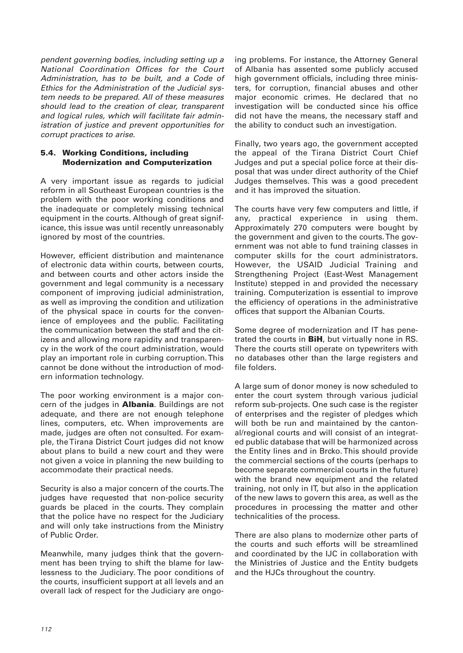pendent governing bodies, including setting up a National Coordination Offices for the Court Administration, has to be built, and a Code of Ethics for the Administration of the Judicial system needs to be prepared. All of these measures should lead to the creation of clear, transparent and logical rules, which will facilitate fair administration of justice and prevent opportunities for corrupt practices to arise.

## **5.4. Working Conditions, including Modernization and Computerization**

A very important issue as regards to judicial reform in all Southeast European countries is the problem with the poor working conditions and the inadequate or completely missing technical equipment in the courts. Although of great significance, this issue was until recently unreasonably ignored by most of the countries.

However, efficient distribution and maintenance of electronic data within courts, between courts, and between courts and other actors inside the government and legal community is a necessary component of improving judicial administration, as well as improving the condition and utilization of the physical space in courts for the convenience of employees and the public. Facilitating the communication between the staff and the citizens and allowing more rapidity and transparency in the work of the court administration, would play an important role in curbing corruption. This cannot be done without the introduction of modern information technology.

The poor working environment is a major concern of the judges in **Albania**. Buildings are not adequate, and there are not enough telephone lines, computers, etc. When improvements are made, judges are often not consulted. For example, the Tirana District Court judges did not know about plans to build a new court and they were not given a voice in planning the new building to accommodate their practical needs.

Security is also a major concern of the courts. The judges have requested that non-police security guards be placed in the courts. They complain that the police have no respect for the Judiciary and will only take instructions from the Ministry of Public Order.

Meanwhile, many judges think that the government has been trying to shift the blame for lawlessness to the Judiciary. The poor conditions of the courts, insufficient support at all levels and an overall lack of respect for the Judiciary are ongoing problems. For instance, the Attorney General of Albania has assented some publicly accused high government officials, including three ministers, for corruption, financial abuses and other major economic crimes. He declared that no investigation will be conducted since his office did not have the means, the necessary staff and the ability to conduct such an investigation.

Finally, two years ago, the government accepted the appeal of the Tirana District Court Chief Judges and put a special police force at their disposal that was under direct authority of the Chief Judges themselves. This was a good precedent and it has improved the situation.

The courts have very few computers and little, if any, practical experience in using them. Approximately 270 computers were bought by the government and given to the courts. The government was not able to fund training classes in computer skills for the court administrators. However, the USAID Judicial Training and Strengthening Project (East-West Management Institute) stepped in and provided the necessary training. Computerization is essential to improve the efficiency of operations in the administrative offices that support the Albanian Courts.

Some degree of modernization and IT has penetrated the courts in **BiH**, but virtually none in RS. There the courts still operate on typewriters with no databases other than the large registers and file folders.

A large sum of donor money is now scheduled to enter the court system through various judicial reform sub-projects. One such case is the register of enterprises and the register of pledges which will both be run and maintained by the cantonal/regional courts and will consist of an integrated public database that will be harmonized across the Entity lines and in Brcko. This should provide the commercial sections of the courts (perhaps to become separate commercial courts in the future) with the brand new equipment and the related training, not only in IT, but also in the application of the new laws to govern this area, as well as the procedures in processing the matter and other technicalities of the process.

There are also plans to modernize other parts of the courts and such efforts will be streamlined and coordinated by the IJC in collaboration with the Ministries of Justice and the Entity budgets and the HJCs throughout the country.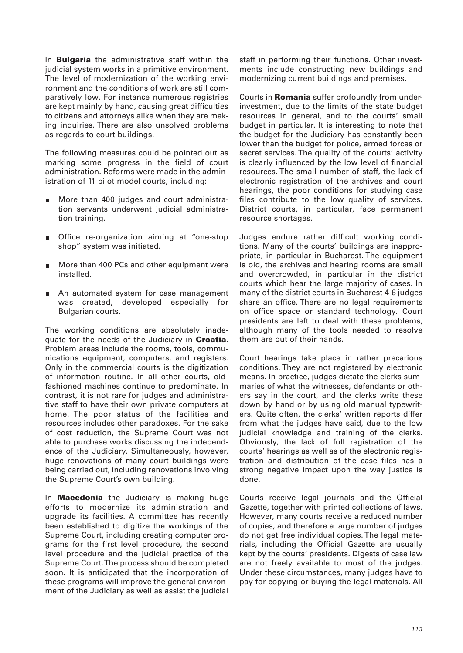In **Bulgaria** the administrative staff within the judicial system works in a primitive environment. The level of modernization of the working environment and the conditions of work are still comparatively low. For instance numerous registries are kept mainly by hand, causing great difficulties to citizens and attorneys alike when they are making inquiries. There are also unsolved problems as regards to court buildings.

The following measures could be pointed out as marking some progress in the field of court administration. Reforms were made in the administration of 11 pilot model courts, including:

- More than 400 judges and court administration servants underwent judicial administration training.
- Office re-organization aiming at "one-stop  $\blacksquare$ shop" system was initiated.
- More than 400 PCs and other equipment were  $\blacksquare$ installed.
- An automated system for case management  $\blacksquare$ was created, developed especially for Bulgarian courts.

The working conditions are absolutely inadequate for the needs of the Judiciary in **Croatia**. Problem areas include the rooms, tools, communications equipment, computers, and registers. Only in the commercial courts is the digitization of information routine. In all other courts, oldfashioned machines continue to predominate. In contrast, it is not rare for judges and administrative staff to have their own private computers at home. The poor status of the facilities and resources includes other paradoxes. For the sake of cost reduction, the Supreme Court was not able to purchase works discussing the independence of the Judiciary. Simultaneously, however, huge renovations of many court buildings were being carried out, including renovations involving the Supreme Court's own building.

In **Macedonia** the Judiciary is making huge efforts to modernize its administration and upgrade its facilities. A committee has recently been established to digitize the workings of the Supreme Court, including creating computer programs for the first level procedure, the second level procedure and the judicial practice of the Supreme Court. The process should be completed soon. It is anticipated that the incorporation of these programs will improve the general environment of the Judiciary as well as assist the judicial staff in performing their functions. Other investments include constructing new buildings and modernizing current buildings and premises.

Courts in **Romania** suffer profoundly from underinvestment, due to the limits of the state budget resources in general, and to the courts' small budget in particular. It is interesting to note that the budget for the Judiciary has constantly been lower than the budget for police, armed forces or secret services. The quality of the courts' activity is clearly influenced by the low level of financial resources. The small number of staff, the lack of electronic registration of the archives and court hearings, the poor conditions for studying case files contribute to the low quality of services. District courts, in particular, face permanent resource shortages.

Judges endure rather difficult working conditions. Many of the courts' buildings are inappropriate, in particular in Bucharest. The equipment is old, the archives and hearing rooms are small and overcrowded, in particular in the district courts which hear the large majority of cases. In many of the district courts in Bucharest 4-6 judges share an office. There are no legal requirements on office space or standard technology. Court presidents are left to deal with these problems, although many of the tools needed to resolve them are out of their hands.

Court hearings take place in rather precarious conditions. They are not registered by electronic means. In practice, judges dictate the clerks summaries of what the witnesses, defendants or others say in the court, and the clerks write these down by hand or by using old manual typewriters. Quite often, the clerks' written reports differ from what the judges have said, due to the low judicial knowledge and training of the clerks. Obviously, the lack of full registration of the courts' hearings as well as of the electronic registration and distribution of the case files has a strong negative impact upon the way justice is done.

Courts receive legal journals and the Official Gazette, together with printed collections of laws. However, many courts receive a reduced number of copies, and therefore a large number of judges do not get free individual copies. The legal materials, including the Official Gazette are usually kept by the courts' presidents. Digests of case law are not freely available to most of the judges. Under these circumstances, many judges have to pay for copying or buying the legal materials. All